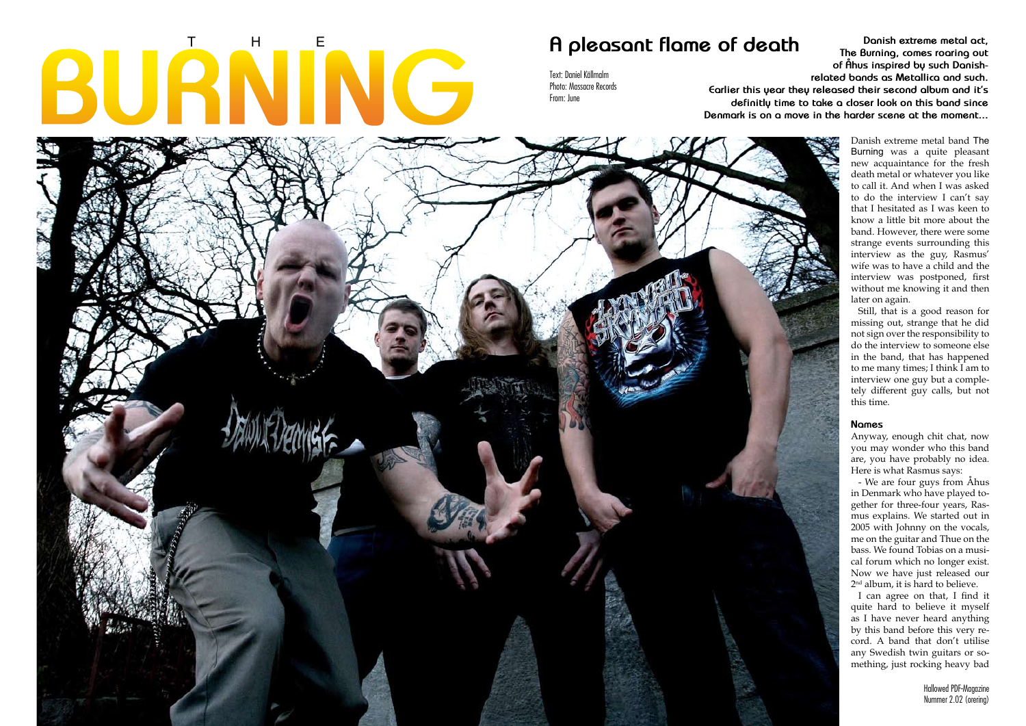# **BURNING**

Hallowed PDF-Magazine **18**

**THE BURNING**

The Dying on Myspace:

www.myspace.com/thedyingmusic

# A pleasant flame of death **Danish extreme metal act, A pleasant flame of death**  $\frac{D_{\text{anish extreme metal act,}}}{\text{The Burning comes roorino out}}$

Danish extreme metal band The Burning was a quite pleasant new acquaintance for the fresh death metal or whatever you like to call it. And when I was asked to do the interview I can't say that I hesitated as I was keen to know a little bit more about the band. However, there were some strange events surrounding this interview as the guy, Rasmus' wife was to have a child and the interview was postponed, first without me knowing it and then later on again.

- We are four guys from Åhus in Denmark who have played together for three-four years, Rasmus explains. We started out in 2005 with Johnny on the vocals, me on the guitar and Thue on the bass. We found Tobias on a musical forum which no longer exist. Now we have just released our 2<sup>nd</sup> album, it is hard to believe.

Still, that is a good reason for missing out, strange that he did not sign over the responsibility to do the interview to someone else in the band, that has happened to me many times; I think I am to interview one guy but a completely different guy calls, but not this time.

# **Names**

Anyway, enough chit chat, now you may wonder who this band are, you have probably no idea. Here is what Rasmus says:

I can agree on that, I find it quite hard to believe it myself as I have never heard anything by this band before this very record. A band that don't utilise any Swedish twin guitars or something, just rocking heavy bad

**The Burning, comes roaring out of Åhus inspired by such Danishrelated bands as Metallica and such. Earlier this year they released their second album and it's definitly time to take a closer look on this band since Denmark is on a move in the harder scene at the moment...**



Text: Daniel Källmalm Photo: Massacre Records From: June